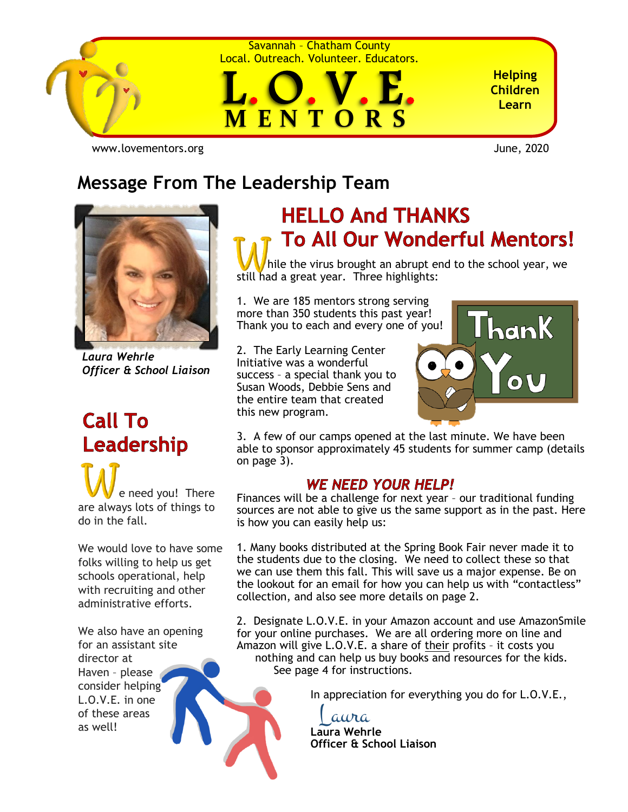

Savannah – Chatham County Local. Outreach. Volunteer. Educators.



**Helping Children Learn**

[www.lovementors.org](http://www.lovementors.org/)June, 2020

# **Message From The Leadership Team**



*Laura Wehrle Officer & School Liaison*

# **Call To** Leadership

 e need you! There are always lots of things to do in the fall.

We would love to have some folks willing to help us get schools operational, help with recruiting and other administrative efforts.

We also have an opening for an assistant site director at Haven – please consider helping L.O.V.E. in one of these areas as well!

# **HELLO And THANKS To All Our Wonderful Mentors!**

 hile the virus brought an abrupt end to the school year, we still had a great year. Three highlights:

1. We are 185 mentors strong serving more than 350 students this past year! Thank you to each and every one of you!

2. The Early Learning Center Initiative was a wonderful success – a special thank you to Susan Woods, Debbie Sens and the entire team that created this new program.



3. A few of our camps opened at the last minute. We have been able to sponsor approximately 45 students for summer camp (details on page 3).

### **WE NEED YOUR HELP!**

Finances will be a challenge for next year – our traditional funding sources are not able to give us the same support as in the past. Here is how you can easily help us:

1. Many books distributed at the Spring Book Fair never made it to the students due to the closing. We need to collect these so that we can use them this fall. This will save us a major expense. Be on the lookout for an email for how you can help us with "contactless" collection, and also see more details on page 2.

2. Designate L.O.V.E. in your Amazon account and use AmazonSmile for your online purchases. We are all ordering more on line and Amazon will give L.O.V.E. a share of their profits – it costs you nothing and can help us buy books and resources for the kids. See page 4 for instructions.

In appreciation for everything you do for L.O.V.E.,

Laura

I

**Laura Wehrle Officer & School Liaison**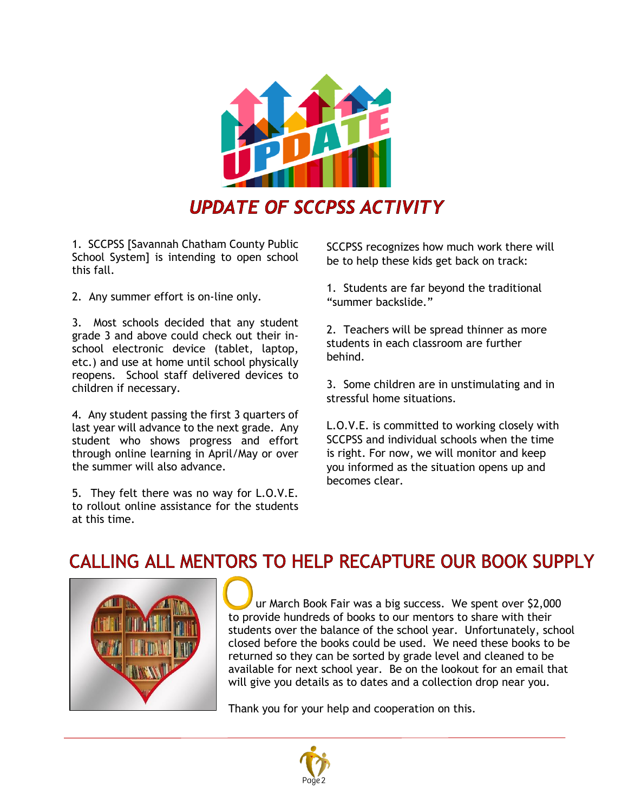

1. SCCPSS [Savannah Chatham County Public School System] is intending to open school this fall.

2. Any summer effort is on-line only.

3. Most schools decided that any student grade 3 and above could check out their inschool electronic device (tablet, laptop, etc.) and use at home until school physically reopens. School staff delivered devices to children if necessary.

4. Any student passing the first 3 quarters of last year will advance to the next grade. Any student who shows progress and effort through online learning in April/May or over the summer will also advance.

5. They felt there was no way for L.O.V.E. to rollout online assistance for the students at this time.

SCCPSS recognizes how much work there will be to help these kids get back on track:

1. Students are far beyond the traditional "summer backslide."

2. Teachers will be spread thinner as more students in each classroom are further behind.

3. Some children are in unstimulating and in stressful home situations.

L.O.V.E. is committed to working closely with SCCPSS and individual schools when the time is right. For now, we will monitor and keep you informed as the situation opens up and becomes clear.

## CALLING ALL MENTORS TO HELP RECAPTURE OUR BOOK SUPPLY



 ur March Book Fair was a big success. We spent over \$2,000 to provide hundreds of books to our mentors to share with their students over the balance of the school year. Unfortunately, school closed before the books could be used. We need these books to be returned so they can be sorted by grade level and cleaned to be available for next school year. Be on the lookout for an email that will give you details as to dates and a collection drop near you.

Thank you for your help and cooperation on this.

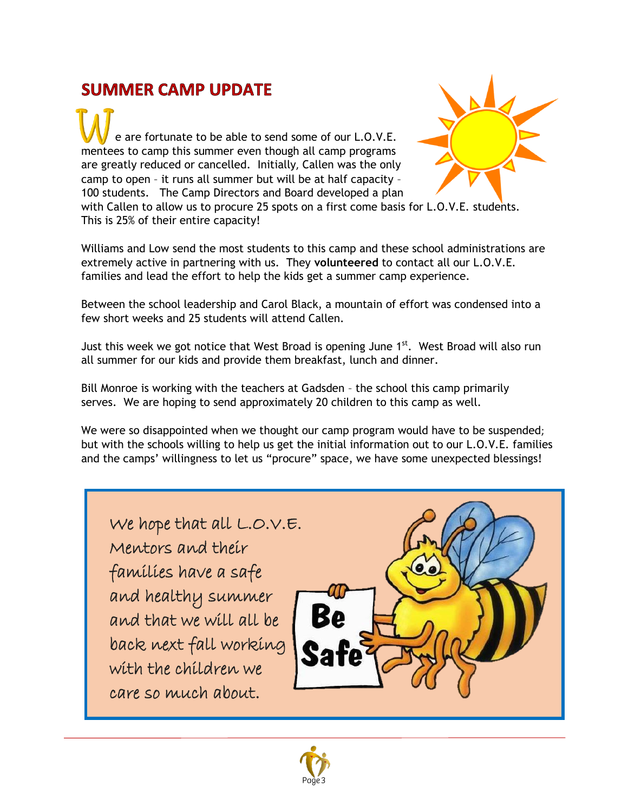## **SUMMER CAMP UPDATE**

 e are fortunate to be able to send some of our L.O.V.E. mentees to camp this summer even though all camp programs are greatly reduced or cancelled. Initially, Callen was the only camp to open – it runs all summer but will be at half capacity – 100 students. The Camp Directors and Board developed a plan with Callen to allow us to procure 25 spots on a first come basis for L.O.V.E. students. This is 25% of their entire capacity!



Williams and Low send the most students to this camp and these school administrations are extremely active in partnering with us. They **volunteered** to contact all our L.O.V.E. families and lead the effort to help the kids get a summer camp experience.

Between the school leadership and Carol Black, a mountain of effort was condensed into a few short weeks and 25 students will attend Callen.

Just this week we got notice that West Broad is opening June  $1^{st}$ . West Broad will also run all summer for our kids and provide them breakfast, lunch and dinner.

Bill Monroe is working with the teachers at Gadsden – the school this camp primarily serves. We are hoping to send approximately 20 children to this camp as well.

We were so disappointed when we thought our camp program would have to be suspended; but with the schools willing to help us get the initial information out to our L.O.V.E. families and the camps' willingness to let us "procure" space, we have some unexpected blessings!

We hope that all L.O.V.E. Mentors and their families have a safe and healthy summer and that we will all be back next fall working with the children we care so much about.



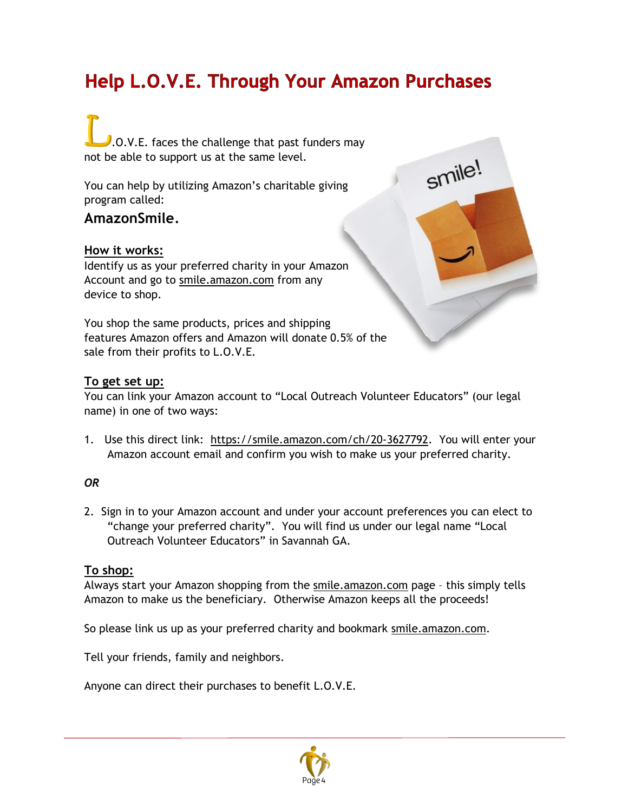# Help L.O.V.E. Through Your Amazon Purchases

smile!

# $\Omega$ .O.V.E. faces the challenge that past funders may not be able to support us at the same level.

You can help by utilizing Amazon's charitable giving program called:

### **AmazonSmile**.

### **How it works:**

Identify us as your preferred charity in your Amazon Account and go to [smile.amazon.com](http://smile.amazon.com/) from any device to shop.

You shop the same products, prices and shipping features Amazon offers and Amazon will donate 0.5% of the sale from their profits to L.O.V.E.

### **To get set up:**

You can link your Amazon account to "Local Outreach Volunteer Educators" (our legal name) in one of two ways:

1. Use this direct link: [https://smile.amazon.com/ch/20-3627792.](https://smile.amazon.com/ch/20-3627792) You will enter your Amazon account email and confirm you wish to make us your preferred charity.

### *OR*

2. Sign in to your Amazon account and under your account preferences you can elect to "change your preferred charity". You will find us under our legal name "Local Outreach Volunteer Educators" in Savannah GA.

### **To shop:**

Always start your Amazon shopping from the [smile.amazon.com](http://smile.amazon.com/) page – this simply tells Amazon to make us the beneficiary. Otherwise Amazon keeps all the proceeds!

So please link us up as your preferred charity and bookmark [smile.amazon.com.](http://smile.amazon.com/)

Tell your friends, family and neighbors.

Anyone can direct their purchases to benefit L.O.V.E.